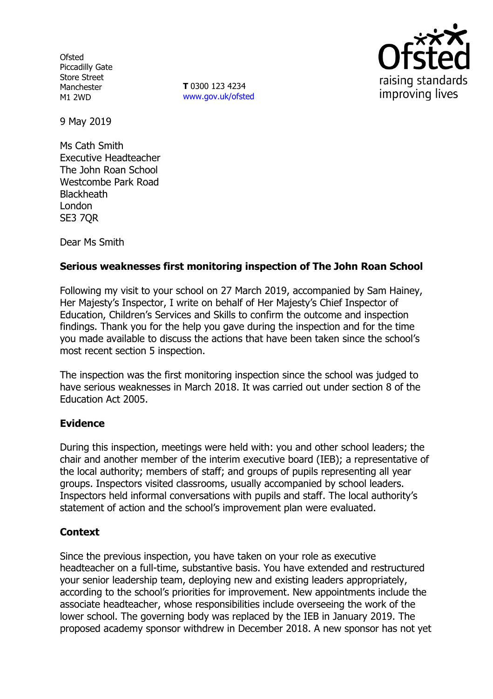**Ofsted** Piccadilly Gate Store Street Manchester M1 2WD

**T** 0300 123 4234 www.gov.uk/ofsted



9 May 2019

Ms Cath Smith Executive Headteacher The John Roan School Westcombe Park Road **Blackheath** London SE3 7QR

Dear Ms Smith

## **Serious weaknesses first monitoring inspection of The John Roan School**

Following my visit to your school on 27 March 2019, accompanied by Sam Hainey, Her Majesty's Inspector, I write on behalf of Her Majesty's Chief Inspector of Education, Children's Services and Skills to confirm the outcome and inspection findings. Thank you for the help you gave during the inspection and for the time you made available to discuss the actions that have been taken since the school's most recent section 5 inspection.

The inspection was the first monitoring inspection since the school was judged to have serious weaknesses in March 2018. It was carried out under section 8 of the Education Act 2005.

## **Evidence**

During this inspection, meetings were held with: you and other school leaders; the chair and another member of the interim executive board (IEB); a representative of the local authority; members of staff; and groups of pupils representing all year groups. Inspectors visited classrooms, usually accompanied by school leaders. Inspectors held informal conversations with pupils and staff. The local authority's statement of action and the school's improvement plan were evaluated.

## **Context**

Since the previous inspection, you have taken on your role as executive headteacher on a full-time, substantive basis. You have extended and restructured your senior leadership team, deploying new and existing leaders appropriately, according to the school's priorities for improvement. New appointments include the associate headteacher, whose responsibilities include overseeing the work of the lower school. The governing body was replaced by the IEB in January 2019. The proposed academy sponsor withdrew in December 2018. A new sponsor has not yet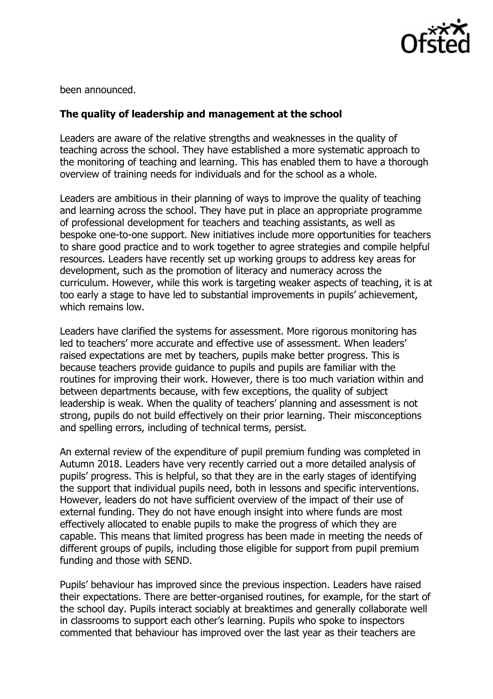

been announced.

## **The quality of leadership and management at the school**

Leaders are aware of the relative strengths and weaknesses in the quality of teaching across the school. They have established a more systematic approach to the monitoring of teaching and learning. This has enabled them to have a thorough overview of training needs for individuals and for the school as a whole.

Leaders are ambitious in their planning of ways to improve the quality of teaching and learning across the school. They have put in place an appropriate programme of professional development for teachers and teaching assistants, as well as bespoke one-to-one support. New initiatives include more opportunities for teachers to share good practice and to work together to agree strategies and compile helpful resources. Leaders have recently set up working groups to address key areas for development, such as the promotion of literacy and numeracy across the curriculum. However, while this work is targeting weaker aspects of teaching, it is at too early a stage to have led to substantial improvements in pupils' achievement, which remains low.

Leaders have clarified the systems for assessment. More rigorous monitoring has led to teachers' more accurate and effective use of assessment. When leaders' raised expectations are met by teachers, pupils make better progress. This is because teachers provide guidance to pupils and pupils are familiar with the routines for improving their work. However, there is too much variation within and between departments because, with few exceptions, the quality of subject leadership is weak. When the quality of teachers' planning and assessment is not strong, pupils do not build effectively on their prior learning. Their misconceptions and spelling errors, including of technical terms, persist.

An external review of the expenditure of pupil premium funding was completed in Autumn 2018. Leaders have very recently carried out a more detailed analysis of pupils' progress. This is helpful, so that they are in the early stages of identifying the support that individual pupils need, both in lessons and specific interventions. However, leaders do not have sufficient overview of the impact of their use of external funding. They do not have enough insight into where funds are most effectively allocated to enable pupils to make the progress of which they are capable. This means that limited progress has been made in meeting the needs of different groups of pupils, including those eligible for support from pupil premium funding and those with SEND.

Pupils' behaviour has improved since the previous inspection. Leaders have raised their expectations. There are better-organised routines, for example, for the start of the school day. Pupils interact sociably at breaktimes and generally collaborate well in classrooms to support each other's learning. Pupils who spoke to inspectors commented that behaviour has improved over the last year as their teachers are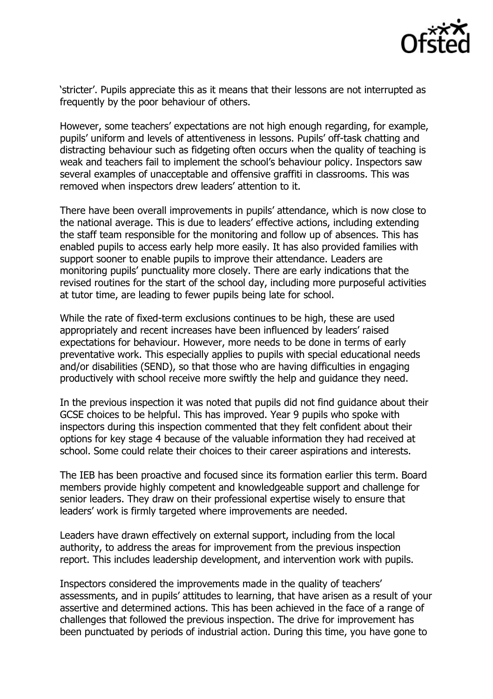

'stricter'. Pupils appreciate this as it means that their lessons are not interrupted as frequently by the poor behaviour of others.

However, some teachers' expectations are not high enough regarding, for example, pupils' uniform and levels of attentiveness in lessons. Pupils' off-task chatting and distracting behaviour such as fidgeting often occurs when the quality of teaching is weak and teachers fail to implement the school's behaviour policy. Inspectors saw several examples of unacceptable and offensive graffiti in classrooms. This was removed when inspectors drew leaders' attention to it.

There have been overall improvements in pupils' attendance, which is now close to the national average. This is due to leaders' effective actions, including extending the staff team responsible for the monitoring and follow up of absences. This has enabled pupils to access early help more easily. It has also provided families with support sooner to enable pupils to improve their attendance. Leaders are monitoring pupils' punctuality more closely. There are early indications that the revised routines for the start of the school day, including more purposeful activities at tutor time, are leading to fewer pupils being late for school.

While the rate of fixed-term exclusions continues to be high, these are used appropriately and recent increases have been influenced by leaders' raised expectations for behaviour. However, more needs to be done in terms of early preventative work. This especially applies to pupils with special educational needs and/or disabilities (SEND), so that those who are having difficulties in engaging productively with school receive more swiftly the help and guidance they need.

In the previous inspection it was noted that pupils did not find guidance about their GCSE choices to be helpful. This has improved. Year 9 pupils who spoke with inspectors during this inspection commented that they felt confident about their options for key stage 4 because of the valuable information they had received at school. Some could relate their choices to their career aspirations and interests.

The IEB has been proactive and focused since its formation earlier this term. Board members provide highly competent and knowledgeable support and challenge for senior leaders. They draw on their professional expertise wisely to ensure that leaders' work is firmly targeted where improvements are needed.

Leaders have drawn effectively on external support, including from the local authority, to address the areas for improvement from the previous inspection report. This includes leadership development, and intervention work with pupils.

Inspectors considered the improvements made in the quality of teachers' assessments, and in pupils' attitudes to learning, that have arisen as a result of your assertive and determined actions. This has been achieved in the face of a range of challenges that followed the previous inspection. The drive for improvement has been punctuated by periods of industrial action. During this time, you have gone to